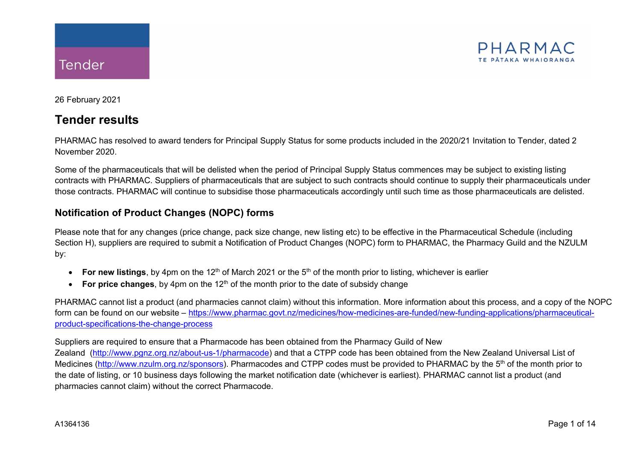

26 February 2021

# **Tender results**

PHARMAC has resolved to award tenders for Principal Supply Status for some products included in the 2020/21 Invitation to Tender, dated 2 November 2020.

Some of the pharmaceuticals that will be delisted when the period of Principal Supply Status commences may be subject to existing listing contracts with PHARMAC. Suppliers of pharmaceuticals that are subject to such contracts should continue to supply their pharmaceuticals under those contracts. PHARMAC will continue to subsidise those pharmaceuticals accordingly until such time as those pharmaceuticals are delisted.

## **Notification of Product Changes (NOPC) forms**

Please note that for any changes (price change, pack size change, new listing etc) to be effective in the Pharmaceutical Schedule (including Section H), suppliers are required to submit a Notification of Product Changes (NOPC) form to PHARMAC, the Pharmacy Guild and the NZULM by:

- For new listings, by 4pm on the 12<sup>th</sup> of March 2021 or the 5<sup>th</sup> of the month prior to listing, whichever is earlier
- For price changes, by 4pm on the 12<sup>th</sup> of the month prior to the date of subsidy change

PHARMAC cannot list a product (and pharmacies cannot claim) without this information. More information about this process, and a copy of the NOPC form can be found on our website – [https://www.pharmac.govt.nz/medicines/how-medicines-are-funded/new-funding-applications/pharmaceutical](https://www.pharmac.govt.nz/medicines/how-medicines-are-funded/new-funding-applications/pharmaceutical-product-specifications-the-change-process)[product-specifications-the-change-process](https://www.pharmac.govt.nz/medicines/how-medicines-are-funded/new-funding-applications/pharmaceutical-product-specifications-the-change-process)

### Suppliers are required to ensure that a Pharmacode has been obtained from the Pharmacy Guild of New

Zealand [\(http://www.pgnz.org.nz/about-us-1/pharmacode\)](http://www.pgnz.org.nz/about-us-1/pharmacode) and that a CTPP code has been obtained from the New Zealand Universal List of Medicines [\(http://www.nzulm.org.nz/sponsors\)](http://www.nzulm.org.nz/sponsors)</u>. Pharmacodes and CTPP codes must be provided to PHARMAC by the 5<sup>th</sup> of the month prior to the date of listing, or 10 business days following the market notification date (whichever is earliest). PHARMAC cannot list a product (and pharmacies cannot claim) without the correct Pharmacode.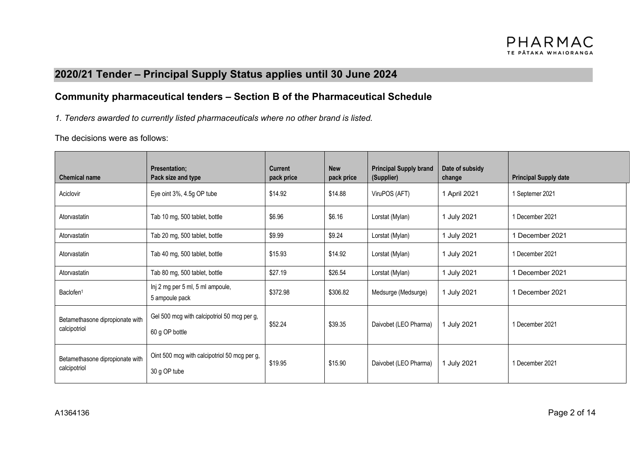# **2020/21 Tender – Principal Supply Status applies until 30 June 2024**

## **Community pharmaceutical tenders – Section B of the Pharmaceutical Schedule**

*1. Tenders awarded to currently listed pharmaceuticals where no other brand is listed.*

The decisions were as follows:

| <b>Chemical name</b>                            | <b>Presentation:</b><br>Pack size and type                    | <b>Current</b><br>pack price | <b>New</b><br>pack price                 | <b>Principal Supply brand</b><br>(Supplier) | Date of subsidy<br>change | <b>Principal Supply date</b> |
|-------------------------------------------------|---------------------------------------------------------------|------------------------------|------------------------------------------|---------------------------------------------|---------------------------|------------------------------|
| Aciclovir                                       | Eye oint 3%, 4.5g OP tube                                     | \$14.92                      | \$14.88                                  | ViruPOS (AFT)                               | 1 April 2021              | 1 Septemer 2021              |
| Atorvastatin                                    | Tab 10 mg, 500 tablet, bottle                                 | \$6.96                       | \$6.16<br>1 July 2021<br>Lorstat (Mylan) |                                             | 1 December 2021           |                              |
| Atorvastatin                                    | Tab 20 mg, 500 tablet, bottle                                 | \$9.99                       | \$9.24                                   | Lorstat (Mylan)                             | 1 July 2021               | 1 December 2021              |
| Atorvastatin                                    | Tab 40 mg, 500 tablet, bottle                                 | \$15.93                      | \$14.92                                  | Lorstat (Mylan)                             | 1 July 2021               | 1 December 2021              |
| Atorvastatin                                    | Tab 80 mg, 500 tablet, bottle                                 | \$27.19                      | \$26.54                                  | Lorstat (Mylan)                             | 1 July 2021               | 1 December 2021              |
| Baclofen <sup>1</sup>                           | Inj 2 mg per 5 ml, 5 ml ampoule,<br>5 ampoule pack            | \$372.98                     | \$306.82                                 | Medsurge (Medsurge)                         | 1 July 2021               | 1 December 2021              |
| Betamethasone dipropionate with<br>calcipotriol | Gel 500 mcg with calcipotriol 50 mcg per g,<br>60 g OP bottle | \$52.24                      | \$39.35                                  | Daivobet (LEO Pharma)                       | 1 July 2021               | 1 December 2021              |
| Betamethasone dipropionate with<br>calcipotriol | Oint 500 mcg with calcipotriol 50 mcg per g,<br>30 g OP tube  | \$19.95                      | \$15.90                                  | Daivobet (LEO Pharma)                       | 1 July 2021               | 1 December 2021              |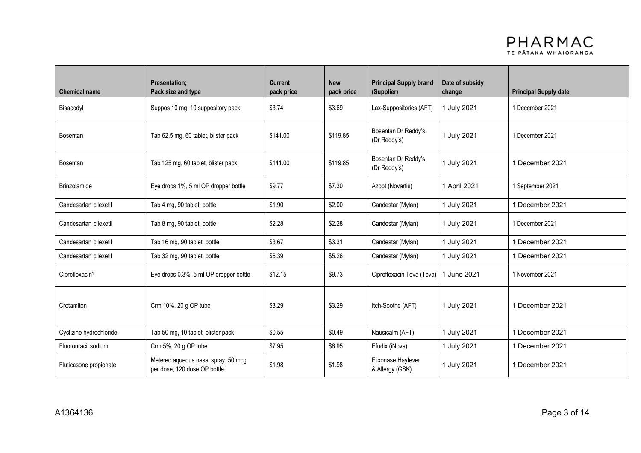

| <b>Chemical name</b>       | <b>Presentation:</b><br>Pack size and type                          | <b>Current</b><br>pack price | <b>New</b><br>pack price | <b>Principal Supply brand</b><br>(Supplier) | Date of subsidy<br>change | <b>Principal Supply date</b> |
|----------------------------|---------------------------------------------------------------------|------------------------------|--------------------------|---------------------------------------------|---------------------------|------------------------------|
| Bisacodyl                  | Suppos 10 mg, 10 suppository pack                                   | \$3.74                       | \$3.69                   | Lax-Suppositories (AFT)                     | 1 July 2021               | 1 December 2021              |
| <b>Bosentan</b>            | Tab 62.5 mg, 60 tablet, blister pack                                | \$141.00                     | \$119.85                 | Bosentan Dr Reddy's<br>(Dr Reddy's)         | 1 July 2021               | 1 December 2021              |
| Bosentan                   | Tab 125 mg, 60 tablet, blister pack                                 | \$141.00                     | \$119.85                 | Bosentan Dr Reddy's<br>(Dr Reddy's)         | 1 July 2021               | 1 December 2021              |
| <b>Brinzolamide</b>        | Eye drops 1%, 5 ml OP dropper bottle                                | \$9.77                       | \$7.30                   | Azopt (Novartis)                            | 1 April 2021              | 1 September 2021             |
| Candesartan cilexetil      | Tab 4 mg, 90 tablet, bottle                                         | \$1.90                       | \$2.00                   | Candestar (Mylan)                           | 1 July 2021               | 1 December 2021              |
| Candesartan cilexetil      | Tab 8 mg, 90 tablet, bottle                                         | \$2.28                       | \$2.28                   | Candestar (Mylan)                           | 1 July 2021               | 1 December 2021              |
| Candesartan cilexetil      | Tab 16 mg, 90 tablet, bottle                                        | \$3.67                       | \$3.31                   | Candestar (Mylan)                           | 1 July 2021               | 1 December 2021              |
| Candesartan cilexetil      | Tab 32 mg, 90 tablet, bottle                                        | \$6.39                       | \$5.26                   | Candestar (Mylan)                           | 1 July 2021               | 1 December 2021              |
| Ciprofloxacin <sup>1</sup> | Eye drops 0.3%, 5 ml OP dropper bottle                              | \$12.15                      | \$9.73                   | Ciprofloxacin Teva (Teva)                   | 1 June 2021               | 1 November 2021              |
| Crotamiton                 | Crm 10%, 20 g OP tube                                               | \$3.29                       | \$3.29                   | Itch-Soothe (AFT)                           | 1 July 2021               | 1 December 2021              |
| Cyclizine hydrochloride    | Tab 50 mg, 10 tablet, blister pack                                  | \$0.55                       | \$0.49                   | Nausicalm (AFT)                             | 1 July 2021               | 1 December 2021              |
| Fluorouracil sodium        | Crm 5%, 20 g OP tube                                                | \$7.95                       | \$6.95                   | Efudix (iNova)                              | 1 July 2021               | 1 December 2021              |
| Fluticasone propionate     | Metered aqueous nasal spray, 50 mcg<br>per dose, 120 dose OP bottle | \$1.98                       | \$1.98                   | Flixonase Hayfever<br>& Allergy (GSK)       | 1 July 2021               | 1 December 2021              |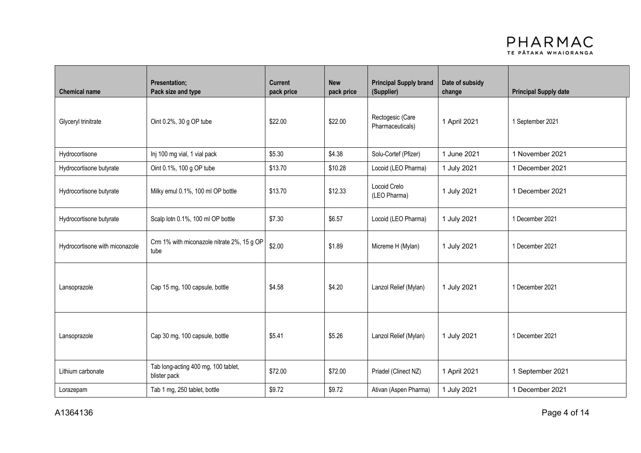

| <b>Chemical name</b>           | <b>Presentation;</b><br>Pack size and type          | <b>Current</b><br>pack price | <b>New</b><br>pack price | <b>Principal Supply brand</b><br>(Supplier) | Date of subsidy<br>change | <b>Principal Supply date</b> |
|--------------------------------|-----------------------------------------------------|------------------------------|--------------------------|---------------------------------------------|---------------------------|------------------------------|
| Glyceryl trinitrate            | Oint 0.2%, 30 g OP tube                             | \$22.00                      | \$22.00                  | Rectogesic (Care<br>Pharmaceuticals)        | 1 April 2021              | 1 September 2021             |
| Hydrocortisone                 | Inj 100 mg vial, 1 vial pack                        | \$5.30                       | \$4.38                   | Solu-Cortef (Pfizer)                        | 1 June 2021               | 1 November 2021              |
| Hydrocortisone butyrate        | Oint 0.1%, 100 g OP tube                            | \$13.70                      | \$10.28                  | Locoid (LEO Pharma)                         | 1 July 2021               | 1 December 2021              |
| Hydrocortisone butyrate        | Milky emul 0.1%, 100 ml OP bottle                   | \$13.70                      | \$12.33                  | Locoid Crelo<br>(LEO Pharma)                | 1 July 2021               | 1 December 2021              |
| Hydrocortisone butyrate        | Scalp lotn 0.1%, 100 ml OP bottle                   | \$7.30                       | \$6.57                   | Locoid (LEO Pharma)                         | 1 July 2021               | 1 December 2021              |
| Hydrocortisone with miconazole | Crm 1% with miconazole nitrate 2%, 15 g OP<br>tube  | \$2.00                       | \$1.89                   | Micreme H (Mylan)                           | 1 July 2021               | 1 December 2021              |
| Lansoprazole                   | Cap 15 mg, 100 capsule, bottle                      | \$4.58                       | \$4.20                   | Lanzol Relief (Mylan)                       | 1 July 2021               | 1 December 2021              |
| Lansoprazole                   | Cap 30 mg, 100 capsule, bottle                      | \$5.41                       | \$5.26                   | Lanzol Relief (Mylan)                       | 1 July 2021               | 1 December 2021              |
| Lithium carbonate              | Tab long-acting 400 mg, 100 tablet,<br>blister pack | \$72.00                      | \$72.00                  | Priadel (Clinect NZ)                        | 1 April 2021              | 1 September 2021             |
| Lorazepam                      | Tab 1 mg, 250 tablet, bottle                        | \$9.72                       | \$9.72                   | Ativan (Aspen Pharma)                       | 1 July 2021               | 1 December 2021              |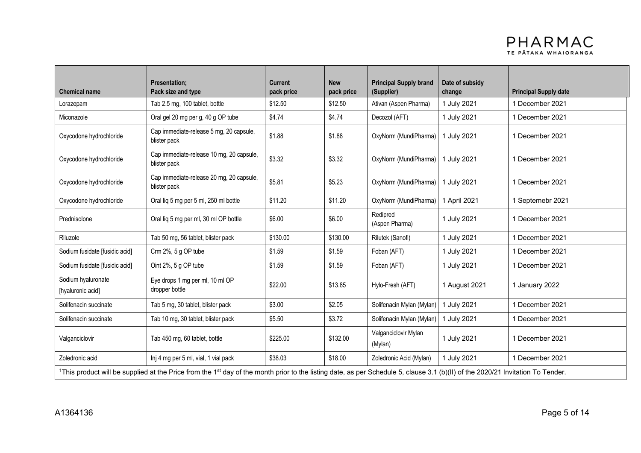

| <b>Chemical name</b>                    | <b>Presentation;</b><br>Pack size and type                                                                                                                                                  | <b>Current</b><br>pack price | <b>New</b><br>pack price | <b>Principal Supply brand</b><br>(Supplier) | Date of subsidy<br>change | <b>Principal Supply date</b> |
|-----------------------------------------|---------------------------------------------------------------------------------------------------------------------------------------------------------------------------------------------|------------------------------|--------------------------|---------------------------------------------|---------------------------|------------------------------|
| Lorazepam                               | Tab 2.5 mg, 100 tablet, bottle                                                                                                                                                              | \$12.50                      | \$12.50                  | Ativan (Aspen Pharma)                       | 1 July 2021               | 1 December 2021              |
| Miconazole                              | Oral gel 20 mg per g, 40 g OP tube                                                                                                                                                          | \$4.74                       | \$4.74                   | Decozol (AFT)                               | 1 July 2021               | 1 December 2021              |
| Oxycodone hydrochloride                 | Cap immediate-release 5 mg, 20 capsule,<br>blister pack                                                                                                                                     | \$1.88                       | \$1.88                   | OxyNorm (MundiPharma)                       | 1 July 2021               | 1 December 2021              |
| Oxycodone hydrochloride                 | Cap immediate-release 10 mg, 20 capsule,<br>blister pack                                                                                                                                    | \$3.32                       | \$3.32                   | OxyNorm (MundiPharma)                       | 1 July 2021               | 1 December 2021              |
| Oxycodone hydrochloride                 | Cap immediate-release 20 mg, 20 capsule,<br>blister pack                                                                                                                                    | \$5.81                       | \$5.23                   | OxyNorm (MundiPharma)                       | 1 July 2021               | 1 December 2021              |
| Oxycodone hydrochloride                 | Oral liq 5 mg per 5 ml, 250 ml bottle                                                                                                                                                       | \$11.20                      | \$11.20                  | OxyNorm (MundiPharma)                       | 1 April 2021              | 1 Septemebr 2021             |
| Prednisolone                            | Oral liq 5 mg per ml, 30 ml OP bottle                                                                                                                                                       | \$6.00                       | \$6.00                   | Redipred<br>(Aspen Pharma)                  | 1 July 2021               | 1 December 2021              |
| Riluzole                                | Tab 50 mg, 56 tablet, blister pack                                                                                                                                                          | \$130.00                     | \$130.00                 | Rilutek (Sanofi)                            | 1 July 2021               | 1 December 2021              |
| Sodium fusidate [fusidic acid]          | Crm 2%, 5 g OP tube                                                                                                                                                                         | \$1.59                       | \$1.59                   | Foban (AFT)                                 | 1 July 2021               | 1 December 2021              |
| Sodium fusidate [fusidic acid]          | Oint 2%, 5 g OP tube                                                                                                                                                                        | \$1.59                       | \$1.59                   | Foban (AFT)                                 | 1 July 2021               | 1 December 2021              |
| Sodium hyaluronate<br>[hyaluronic acid] | Eye drops 1 mg per ml, 10 ml OP<br>dropper bottle                                                                                                                                           | \$22.00                      | \$13.85                  | Hylo-Fresh (AFT)                            | 1 August 2021             | 1 January 2022               |
| Solifenacin succinate                   | Tab 5 mg, 30 tablet, blister pack                                                                                                                                                           | \$3.00                       | \$2.05                   | Solifenacin Mylan (Mylan)                   | 1 July 2021               | 1 December 2021              |
| Solifenacin succinate                   | Tab 10 mg, 30 tablet, blister pack                                                                                                                                                          | \$5.50                       | \$3.72                   | Solifenacin Mylan (Mylan)                   | 1 July 2021               | 1 December 2021              |
| Valganciclovir                          | Tab 450 mg, 60 tablet, bottle                                                                                                                                                               | \$225.00                     | \$132.00                 | Valganciclovir Mylan<br>(Mylan)             | 1 July 2021               | 1 December 2021              |
| Zoledronic acid                         | Inj 4 mg per 5 ml, vial, 1 vial pack                                                                                                                                                        | \$38.03                      | \$18.00                  | Zoledronic Acid (Mylan)                     | 1 July 2021               | 1 December 2021              |
|                                         | 1This product will be supplied at the Price from the 1 <sup>st</sup> day of the month prior to the listing date, as per Schedule 5, clause 3.1 (b)(II) of the 2020/21 Invitation To Tender. |                              |                          |                                             |                           |                              |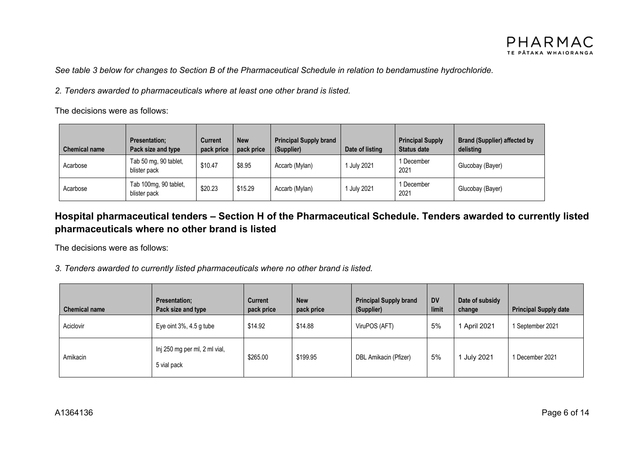See table 3 below for changes to Section B of the Pharmaceutical Schedule in relation to bendamustine hydrochloride.

*2. Tenders awarded to pharmaceuticals where at least one other brand is listed.*

The decisions were as follows:

| <b>Chemical name</b> | <b>Presentation:</b><br>Pack size and type | <b>Current</b><br>pack price | <b>New</b><br>pack price | <b>Principal Supply brand</b><br>(Supplier) | Date of listing  | <b>Principal Supply</b><br><b>Status date</b> | <b>Brand (Supplier) affected by</b><br>delisting |
|----------------------|--------------------------------------------|------------------------------|--------------------------|---------------------------------------------|------------------|-----------------------------------------------|--------------------------------------------------|
| Acarbose             | Tab 50 mg, 90 tablet,<br>blister pack      | \$10.47                      | \$8.95                   | Accarb (Mylan)                              | July 2021        | 1 December<br>2021                            | Glucobay (Bayer)                                 |
| Acarbose             | Tab 100mg, 90 tablet,<br>blister pack      | \$20.23                      | \$15.29                  | Accarb (Mylan)                              | <b>July 2021</b> | 1 December<br>2021                            | Glucobay (Bayer)                                 |

## **Hospital pharmaceutical tenders – Section H of the Pharmaceutical Schedule. Tenders awarded to currently listed pharmaceuticals where no other brand is listed**

The decisions were as follows:

*3. Tenders awarded to currently listed pharmaceuticals where no other brand is listed.*

| <b>Chemical name</b> | <b>Presentation:</b><br>Pack size and type   | <b>Current</b><br>pack price | <b>New</b><br>pack price | <b>Principal Supply brand</b><br>(Supplier) | <b>DV</b><br>limit | Date of subsidy<br>change | <b>Principal Supply date</b> |
|----------------------|----------------------------------------------|------------------------------|--------------------------|---------------------------------------------|--------------------|---------------------------|------------------------------|
| Aciclovir            | Eye oint $3\%$ , $4.5$ g tube                | \$14.92                      | \$14.88                  | ViruPOS (AFT)                               | 5%                 | 1 April 2021              | 1 September 2021             |
| Amikacin             | Inj 250 mg per ml, 2 ml vial,<br>5 vial pack | \$265.00                     | \$199.95                 | DBL Amikacin (Pfizer)                       | 5%                 | 1 July 2021               | 1 December 2021              |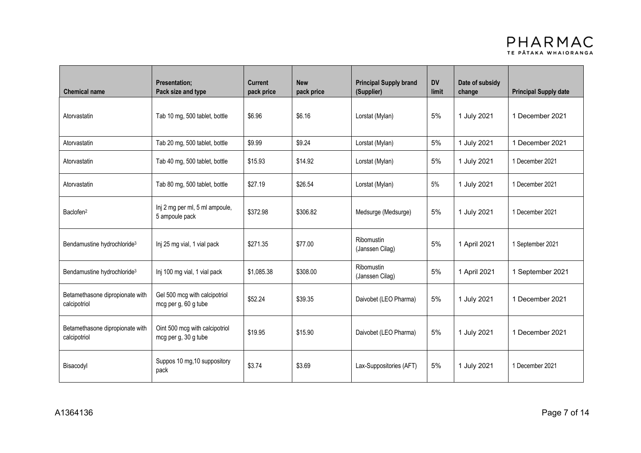

| <b>Chemical name</b>                            | <b>Presentation:</b><br>Pack size and type             | <b>Current</b><br>pack price | <b>New</b><br>pack price | <b>Principal Supply brand</b><br>(Supplier) | <b>DV</b><br>limit | Date of subsidy<br>change | <b>Principal Supply date</b> |
|-------------------------------------------------|--------------------------------------------------------|------------------------------|--------------------------|---------------------------------------------|--------------------|---------------------------|------------------------------|
| Atorvastatin                                    | Tab 10 mg, 500 tablet, bottle                          | \$6.96                       | \$6.16                   | 5%<br>Lorstat (Mylan)                       |                    | 1 July 2021               | 1 December 2021              |
| Atorvastatin                                    | Tab 20 mg, 500 tablet, bottle                          | \$9.99                       | \$9.24                   | Lorstat (Mylan)                             | 5%                 | 1 July 2021               | 1 December 2021              |
| Atorvastatin                                    | Tab 40 mg, 500 tablet, bottle                          | \$15.93                      | \$14.92                  | Lorstat (Mylan)                             | 5%                 | 1 July 2021               | 1 December 2021              |
| Atorvastatin                                    | Tab 80 mg, 500 tablet, bottle                          | \$27.19                      | \$26.54                  | 5%<br>Lorstat (Mylan)                       |                    | 1 July 2021               | 1 December 2021              |
| Baclofen <sup>2</sup>                           | Inj 2 mg per ml, 5 ml ampoule,<br>5 ampoule pack       | \$372.98                     | \$306.82                 | Medsurge (Medsurge)                         | 5%                 | 1 July 2021               | 1 December 2021              |
| Bendamustine hydrochloride <sup>3</sup>         | Inj 25 mg vial, 1 vial pack                            | \$271.35                     | \$77.00                  | Ribomustin<br>(Janssen Cilag)               | 5%                 | 1 April 2021              | 1 September 2021             |
| Bendamustine hydrochloride <sup>3</sup>         | Inj 100 mg vial, 1 vial pack                           | \$1,085.38                   | \$308.00                 | Ribomustin<br>(Janssen Cilag)               | 5%                 | 1 April 2021              | 1 September 2021             |
| Betamethasone dipropionate with<br>calcipotriol | Gel 500 mcg with calcipotriol<br>mcg per g, 60 g tube  | \$52.24                      | \$39.35                  | Daivobet (LEO Pharma)                       | 5%                 | 1 July 2021               | 1 December 2021              |
| Betamethasone dipropionate with<br>calcipotriol | Oint 500 mcg with calcipotriol<br>mcg per g, 30 g tube | \$19.95                      | \$15.90                  | Daivobet (LEO Pharma)                       | 5%                 | 1 July 2021               | 1 December 2021              |
| Bisacodyl                                       | Suppos 10 mg, 10 suppository<br>pack                   | \$3.74                       | \$3.69                   | Lax-Suppositories (AFT)                     | 5%                 | 1 July 2021               | 1 December 2021              |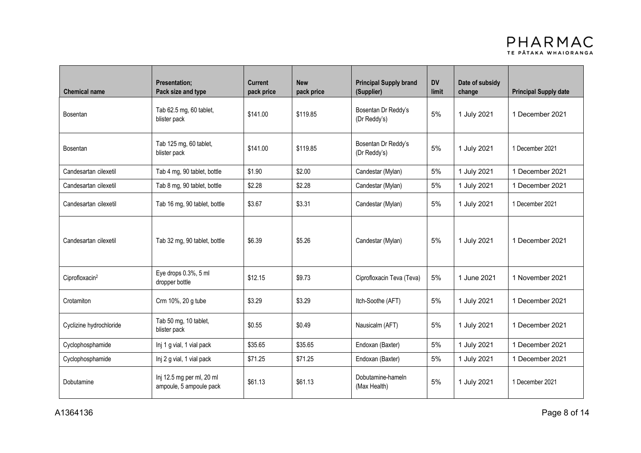

| <b>Chemical name</b>       | <b>Presentation;</b><br>Pack size and type           | <b>Current</b><br>pack price          | <b>New</b><br><b>Principal Supply brand</b><br>pack price<br>(Supplier) |                                     | <b>DV</b><br>limit | Date of subsidy<br>change | <b>Principal Supply date</b> |
|----------------------------|------------------------------------------------------|---------------------------------------|-------------------------------------------------------------------------|-------------------------------------|--------------------|---------------------------|------------------------------|
| <b>Bosentan</b>            | Tab 62.5 mg, 60 tablet,<br>blister pack              | \$141.00                              | \$119.85                                                                | Bosentan Dr Reddy's<br>(Dr Reddy's) | 5%                 | 1 July 2021               | 1 December 2021              |
| Bosentan                   | Tab 125 mg, 60 tablet,<br>blister pack               | \$141.00                              | \$119.85                                                                | Bosentan Dr Reddy's<br>(Dr Reddy's) | 5%                 | 1 July 2021               | 1 December 2021              |
| Candesartan cilexetil      | Tab 4 mg, 90 tablet, bottle                          | \$1.90                                | \$2.00                                                                  | Candestar (Mylan)                   | 5%                 | 1 July 2021               | 1 December 2021              |
| Candesartan cilexetil      | Tab 8 mg, 90 tablet, bottle                          | \$2.28                                | \$2.28                                                                  | Candestar (Mylan)                   | 5%                 | 1 July 2021               | 1 December 2021              |
| Candesartan cilexetil      | Tab 16 mg, 90 tablet, bottle                         | \$3.31<br>\$3.67<br>Candestar (Mylan) |                                                                         |                                     | 5%                 | 1 July 2021               | 1 December 2021              |
| Candesartan cilexetil      | Tab 32 mg, 90 tablet, bottle                         | \$6.39                                | \$5.26                                                                  | Candestar (Mylan)                   | 5%                 | 1 July 2021               | 1 December 2021              |
| Ciprofloxacin <sup>2</sup> | Eye drops 0.3%, 5 ml<br>dropper bottle               | \$12.15                               | \$9.73                                                                  | Ciprofloxacin Teva (Teva)           | 5%                 | 1 June 2021               | 1 November 2021              |
| Crotamiton                 | Crm 10%, 20 g tube                                   | \$3.29                                | \$3.29                                                                  | Itch-Soothe (AFT)                   | 5%                 | 1 July 2021               | 1 December 2021              |
| Cyclizine hydrochloride    | Tab 50 mg, 10 tablet,<br>blister pack                | \$0.55                                | \$0.49                                                                  | Nausicalm (AFT)                     | 5%                 | 1 July 2021               | 1 December 2021              |
| Cyclophosphamide           | Inj 1 g vial, 1 vial pack                            | \$35.65                               | \$35.65                                                                 | Endoxan (Baxter)                    | 5%                 | 1 July 2021               | 1 December 2021              |
| Cyclophosphamide           | Inj 2 g vial, 1 vial pack                            | \$71.25                               | \$71.25                                                                 | Endoxan (Baxter)                    | 5%                 | 1 July 2021               | 1 December 2021              |
| Dobutamine                 | Inj 12.5 mg per ml, 20 ml<br>ampoule, 5 ampoule pack | \$61.13                               | \$61.13                                                                 | Dobutamine-hameln<br>(Max Health)   | 5%                 | 1 July 2021               | 1 December 2021              |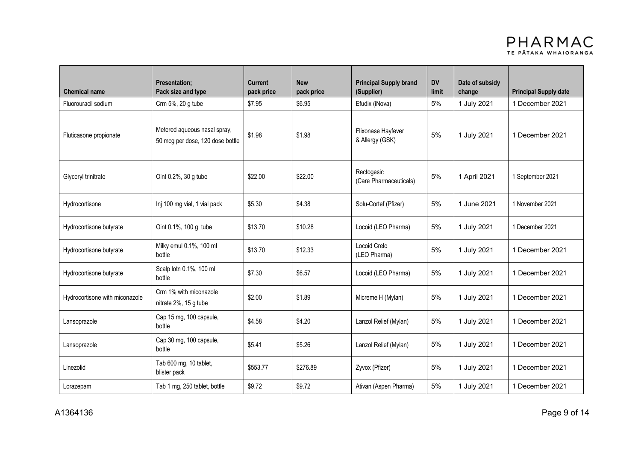

| <b>Chemical name</b>           | <b>Presentation:</b><br>Pack size and type                       | <b>New</b><br><b>Principal Supply brand</b><br><b>DV</b><br><b>Current</b><br>pack price<br>pack price<br>(Supplier) |                                                           | limit                                | Date of subsidy<br>change | <b>Principal Supply date</b> |                  |
|--------------------------------|------------------------------------------------------------------|----------------------------------------------------------------------------------------------------------------------|-----------------------------------------------------------|--------------------------------------|---------------------------|------------------------------|------------------|
| Fluorouracil sodium            | Crm 5%, 20 g tube                                                | \$7.95                                                                                                               | \$6.95                                                    | Efudix (iNova)                       | 5%                        | 1 July 2021                  | 1 December 2021  |
| Fluticasone propionate         | Metered aqueous nasal spray,<br>50 mcg per dose, 120 dose bottle |                                                                                                                      | Flixonase Hayfever<br>\$1.98<br>\$1.98<br>& Allergy (GSK) |                                      | 5%                        | 1 July 2021                  | 1 December 2021  |
| Glyceryl trinitrate            | Oint 0.2%, 30 g tube                                             | \$22.00                                                                                                              | \$22.00                                                   | Rectogesic<br>(Care Pharmaceuticals) | 5%                        | 1 April 2021                 | 1 September 2021 |
| Hydrocortisone                 | Inj 100 mg vial, 1 vial pack                                     | \$5.30                                                                                                               | \$4.38                                                    | Solu-Cortef (Pfizer)                 | 5%                        | 1 June 2021                  | 1 November 2021  |
| Hydrocortisone butyrate        | Oint 0.1%, 100 g tube                                            | \$13.70                                                                                                              | \$10.28                                                   | Locoid (LEO Pharma)                  | 5%                        | 1 July 2021                  | 1 December 2021  |
| Hydrocortisone butyrate        | Milky emul 0.1%, 100 ml<br>bottle                                | \$13.70                                                                                                              | \$12.33                                                   | Locoid Crelo<br>(LEO Pharma)         | 5%                        | 1 July 2021                  | 1 December 2021  |
| Hydrocortisone butyrate        | Scalp lotn 0.1%, 100 ml<br>bottle                                | \$7.30                                                                                                               | \$6.57                                                    | Locoid (LEO Pharma)                  | 5%                        | 1 July 2021                  | 1 December 2021  |
| Hydrocortisone with miconazole | Crm 1% with miconazole<br>nitrate 2%, 15 g tube                  | \$2.00                                                                                                               | \$1.89                                                    | Micreme H (Mylan)                    | 5%                        | 1 July 2021                  | 1 December 2021  |
| Lansoprazole                   | Cap 15 mg, 100 capsule,<br>bottle                                | \$4.58                                                                                                               | \$4.20                                                    | Lanzol Relief (Mylan)                | 5%                        | 1 July 2021                  | 1 December 2021  |
| Lansoprazole                   | Cap 30 mg, 100 capsule,<br>bottle                                | \$5.41                                                                                                               | \$5.26                                                    | Lanzol Relief (Mylan)                | 5%                        | 1 July 2021                  | 1 December 2021  |
| Linezolid                      | Tab 600 mg, 10 tablet,<br>blister pack                           | \$553.77                                                                                                             | \$276.89                                                  | Zyvox (Pfizer)                       | 5%                        | 1 July 2021                  | 1 December 2021  |
| Lorazepam                      | Tab 1 mg, 250 tablet, bottle                                     | \$9.72                                                                                                               | \$9.72                                                    | Ativan (Aspen Pharma)                | 5%                        | 1 July 2021                  | 1 December 2021  |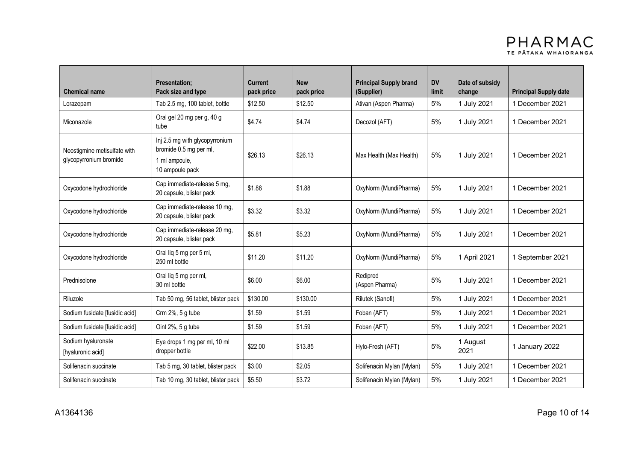

| <b>Chemical name</b>                                   | <b>Presentation;</b><br>Pack size and type                                                   | <b>Current</b><br>pack price | <b>New</b><br>pack price | <b>Principal Supply brand</b><br><b>DV</b><br>(Supplier)<br>limit |    | Date of subsidy<br>change | <b>Principal Supply date</b> |
|--------------------------------------------------------|----------------------------------------------------------------------------------------------|------------------------------|--------------------------|-------------------------------------------------------------------|----|---------------------------|------------------------------|
| Lorazepam                                              | Tab 2.5 mg, 100 tablet, bottle                                                               | \$12.50                      | \$12.50                  | Ativan (Aspen Pharma)                                             | 5% | 1 July 2021               | 1 December 2021              |
| Miconazole                                             | Oral gel 20 mg per g, 40 g<br>tube                                                           | \$4.74                       | \$4.74                   | Decozol (AFT)                                                     | 5% |                           | 1 December 2021              |
| Neostigmine metisulfate with<br>glycopyrronium bromide | Inj 2.5 mg with glycopyrronium<br>bromide 0.5 mg per ml,<br>1 ml ampoule,<br>10 ampoule pack | \$26.13                      | \$26.13                  | 5%<br>Max Health (Max Health)                                     |    | 1 July 2021               | 1 December 2021              |
| Oxycodone hydrochloride                                | Cap immediate-release 5 mg,<br>20 capsule, blister pack                                      | \$1.88                       | \$1.88                   | OxyNorm (MundiPharma)                                             | 5% | 1 July 2021               | 1 December 2021              |
| Oxycodone hydrochloride                                | Cap immediate-release 10 mg,<br>20 capsule, blister pack                                     | \$3.32                       | \$3.32                   | OxyNorm (MundiPharma)<br>5%                                       |    | 1 July 2021               | 1 December 2021              |
| Oxycodone hydrochloride                                | Cap immediate-release 20 mg,<br>20 capsule, blister pack                                     | \$5.81                       | \$5.23                   | OxyNorm (MundiPharma)<br>5%                                       |    | 1 July 2021               | 1 December 2021              |
| Oxycodone hydrochloride                                | Oral liq 5 mg per 5 ml,<br>250 ml bottle                                                     | \$11.20                      | \$11.20                  | OxyNorm (MundiPharma)                                             | 5% | 1 April 2021              | 1 September 2021             |
| Prednisolone                                           | Oral lig 5 mg per ml,<br>30 ml bottle                                                        | \$6.00                       | \$6.00                   | Redipred<br>(Aspen Pharma)                                        | 5% | 1 July 2021               | 1 December 2021              |
| Riluzole                                               | Tab 50 mg, 56 tablet, blister pack                                                           | \$130.00                     | \$130.00                 | Rilutek (Sanofi)                                                  | 5% | 1 July 2021               | 1 December 2021              |
| Sodium fusidate [fusidic acid]                         | Crm 2%, 5 g tube                                                                             | \$1.59                       | \$1.59                   | Foban (AFT)                                                       | 5% | 1 July 2021               | 1 December 2021              |
| Sodium fusidate [fusidic acid]                         | Oint 2%, 5 g tube                                                                            | \$1.59                       | \$1.59                   | Foban (AFT)                                                       | 5% | 1 July 2021               | 1 December 2021              |
| Sodium hyaluronate<br>[hyaluronic acid]                | Eye drops 1 mg per ml, 10 ml<br>dropper bottle                                               | \$22.00                      | \$13.85                  | Hylo-Fresh (AFT)                                                  | 5% | 1 August<br>2021          | 1 January 2022               |
| Solifenacin succinate                                  | Tab 5 mg, 30 tablet, blister pack                                                            | \$3.00                       | \$2.05                   | Solifenacin Mylan (Mylan)                                         | 5% | 1 July 2021               | 1 December 2021              |
| Solifenacin succinate                                  | Tab 10 mg, 30 tablet, blister pack                                                           | \$5.50                       | \$3.72                   | Solifenacin Mylan (Mylan)                                         | 5% | 1 July 2021               | 1 December 2021              |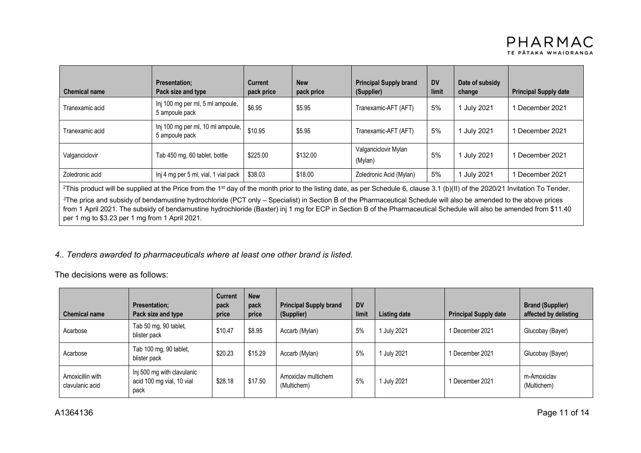| <b>Chemical name</b> | <b>Presentation:</b><br>Pack size and type          | <b>Current</b><br>pack price | <b>New</b><br>pack price                    | <b>Principal Supply brand</b><br>(Supplier) | <b>DV</b><br>limit | Date of subsidy<br>change | <b>Principal Supply date</b> |
|----------------------|-----------------------------------------------------|------------------------------|---------------------------------------------|---------------------------------------------|--------------------|---------------------------|------------------------------|
| Tranexamic acid      | Inj 100 mg per ml, 5 ml ampoule,<br>5 ampoule pack  | \$6.95                       | \$5.95                                      | Tranexamic-AFT (AFT)                        | 5%                 | July 2021                 | December 2021                |
| Tranexamic acid      | Inj 100 mg per ml, 10 ml ampoule,<br>5 ampoule pack | \$10.95                      | \$5.95                                      | Tranexamic-AFT (AFT)                        | 5%                 | 1 July 2021               | December 2021                |
| Valganciclovir       | Tab 450 mg, 60 tablet, bottle                       | \$225.00                     | Valganciclovir Mylan<br>\$132.00<br>(Mylan) |                                             | 5%                 | July 2021                 | December 2021                |
| Zoledronic acid      | Inj 4 mg per 5 ml, vial, 1 vial pack                | \$38.03                      | \$18.00                                     | Zoledronic Acid (Mylan)                     | 5%                 | July 2021                 | December 2021                |

<sup>2</sup>This product will be supplied at the Price from the 1<sup>st</sup> day of the month prior to the listing date, as per Schedule 6, clause 3.1 (b)(II) of the 2020/21 Invitation To Tender.

*<sup>3</sup>*The price and subsidy of bendamustine hydrochloride (PCT only – Specialist) in Section B of the Pharmaceutical Schedule will also be amended to the above prices from 1 April 2021. The subsidy of bendamustine hydrochloride (Baxter) inj 1 mg for ECP in Section B of the Pharmaceutical Schedule will also be amended from \$11.40 per 1 mg to \$3.23 per 1 mg from 1 April 2021.

### *4.. Tenders awarded to pharmaceuticals where at least one other brand is listed.*

The decisions were as follows:

| <b>Chemical name</b>                | <b>Presentation:</b><br>Pack size and type                      | <b>Current</b><br>pack<br>price | <b>New</b><br>pack<br>price | <b>Principal Supply brand</b><br>(Supplier) | <b>DV</b><br>limit | Listing date | <b>Principal Supply date</b> | <b>Brand (Supplier)</b><br>affected by delisting |
|-------------------------------------|-----------------------------------------------------------------|---------------------------------|-----------------------------|---------------------------------------------|--------------------|--------------|------------------------------|--------------------------------------------------|
| Acarbose                            | Tab 50 mg, 90 tablet,<br>blister pack                           | \$10.47                         | \$8.95                      | Accarb (Mylan)                              | 5%                 | 1 July 2021  | 1 December 2021              | Glucobay (Bayer)                                 |
| Acarbose                            | Tab 100 mg, 90 tablet,<br>blister pack                          | \$20.23                         | \$15.29                     | Accarb (Mylan)                              | 5%                 | 1 July 2021  | 1 December 2021              | Glucobay (Bayer)                                 |
| Amoxicillin with<br>clavulanic acid | Inj 500 mg with clavulanic<br>acid 100 mg vial, 10 vial<br>pack | \$28.18                         | \$17.50                     | Amoxiclay multichem<br>(Multichem)          | 5%                 | July 2021    | 1 December 2021              | m-Amoxiclav<br>(Multichem)                       |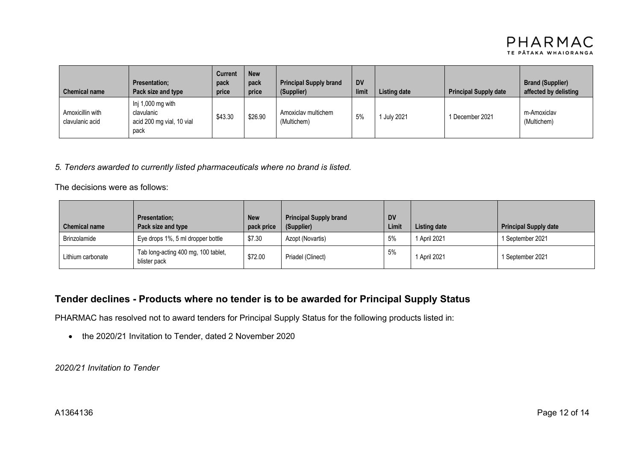

| <b>Chemical name</b>                | <b>Presentation:</b><br>Pack size and type                           | Current<br>pack<br>price | <b>New</b><br>pack<br>price | <b>Principal Supply brand</b><br>(Supplier) | <b>DV</b><br>limit | Listing date | <b>Principal Supply date</b> | <b>Brand (Supplier)</b><br>affected by delisting |
|-------------------------------------|----------------------------------------------------------------------|--------------------------|-----------------------------|---------------------------------------------|--------------------|--------------|------------------------------|--------------------------------------------------|
| Amoxicillin with<br>clavulanic acid | Inj 1,000 mg with<br>clavulanic<br>acid 200 mg vial, 10 vial<br>pack | \$43.30                  | \$26.90                     | Amoxiclay multichem<br>(Multichem)          | 5%                 | July 2021    | 1 December 2021              | m-Amoxiclav<br>(Multichem)                       |

#### *5. Tenders awarded to currently listed pharmaceuticals where no brand is listed.*

The decisions were as follows:

| <b>Chemical name</b> | <b>Presentation:</b><br>Pack size and type          | <b>New</b><br>pack price | <b>Principal Supply brand</b><br>(Supplier) | <b>DV</b><br>Limit | Listing date | <b>Principal Supply date</b> |
|----------------------|-----------------------------------------------------|--------------------------|---------------------------------------------|--------------------|--------------|------------------------------|
| Brinzolamide         | Eye drops 1%, 5 ml dropper bottle                   | \$7.30                   | Azopt (Novartis)                            | 5%                 | 1 April 2021 | 1 September 2021             |
| Lithium carbonate    | Tab long-acting 400 mg, 100 tablet,<br>blister pack | \$72.00                  | Priadel (Clinect)                           | 5%                 | 1 April 2021 | 1 September 2021             |

## **Tender declines - Products where no tender is to be awarded for Principal Supply Status**

PHARMAC has resolved not to award tenders for Principal Supply Status for the following products listed in:

• the 2020/21 Invitation to Tender, dated 2 November 2020

*2020/21 Invitation to Tender*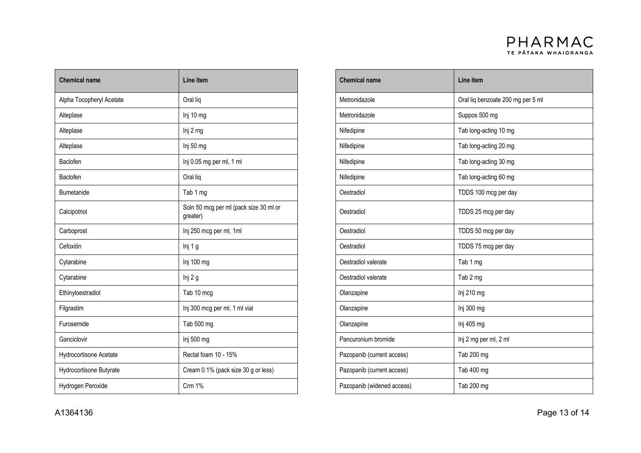

| <b>Chemical name</b>     | Line item                                          | <b>Chemical name</b>       | Line item                         |
|--------------------------|----------------------------------------------------|----------------------------|-----------------------------------|
|                          |                                                    |                            |                                   |
| Alpha Tocopheryl Acetate | Oral lig                                           | Metronidazole              | Oral liq benzoate 200 mg per 5 ml |
| Alteplase                | Inj 10 mg                                          | Metronidazole              | Suppos 500 mg                     |
| Alteplase                | Inj 2 mg                                           | Nifedipine                 | Tab long-acting 10 mg             |
| Alteplase                | Inj 50 mg                                          | Nifedipine                 | Tab long-acting 20 mg             |
| Baclofen                 | Inj 0.05 mg per ml, 1 ml                           | Nifedipine                 | Tab long-acting 30 mg             |
| Baclofen                 | Oral liq                                           | Nifedipine                 | Tab long-acting 60 mg             |
| <b>Bumetanide</b>        | Tab 1 mg                                           | Oestradiol                 | TDDS 100 mcg per day              |
| Calcipotriol             | Soln 50 mcg per ml (pack size 30 ml or<br>greater) | Oestradiol                 | TDDS 25 mcg per day               |
| Carboprost               | Inj 250 mcg per ml, 1ml                            | Oestradiol                 | TDDS 50 mcg per day               |
| Cefoxitin                | Inj 1 g                                            | Oestradiol                 | TDDS 75 mcg per day               |
| Cytarabine               | Inj 100 mg                                         | Oestradiol valerate        | Tab 1 mg                          |
| Cytarabine               | Inj 2 g                                            | Oestradiol valerate        | Tab 2 mg                          |
| Ethinyloestradiol        | Tab 10 mcg                                         | Olanzapine                 | Inj 210 mg                        |
| Filgrastim               | Inj 300 mcg per ml, 1 ml vial                      | Olanzapine                 | Inj 300 mg                        |
| Furosemide               | Tab 500 mg                                         | Olanzapine                 | Inj 405 mg                        |
| Ganciclovir              | Inj 500 mg                                         | Pancuronium bromide        | Inj 2 mg per ml, 2 ml             |
| Hydrocortisone Acetate   | Rectal foam 10 - 15%                               | Pazopanib (current access) | Tab 200 mg                        |
| Hydrocortisone Butyrate  | Cream 0.1% (pack size 30 g or less)                | Pazopanib (current access) | Tab 400 mg                        |
| Hydrogen Peroxide        | Crm 1%                                             | Pazopanib (widened access) | Tab 200 mg                        |

| Line item                                          |  | <b>Chemical name</b>       | Line item                         |  |
|----------------------------------------------------|--|----------------------------|-----------------------------------|--|
| Oral liq                                           |  | Metronidazole              | Oral liq benzoate 200 mg per 5 ml |  |
| Inj 10 mg                                          |  | Metronidazole              | Suppos 500 mg                     |  |
| Inj 2 mg                                           |  | Nifedipine                 | Tab long-acting 10 mg             |  |
| Inj 50 mg                                          |  | Nifedipine                 | Tab long-acting 20 mg             |  |
| Inj 0.05 mg per ml, 1 ml                           |  | Nifedipine                 | Tab long-acting 30 mg             |  |
| Oral liq                                           |  | Nifedipine                 | Tab long-acting 60 mg             |  |
| Tab 1 mg                                           |  | Oestradiol                 | TDDS 100 mcg per day              |  |
| Soln 50 mcg per ml (pack size 30 ml or<br>greater) |  | Oestradiol                 | TDDS 25 mcg per day               |  |
| Inj 250 mcg per ml, 1ml                            |  | Oestradiol                 | TDDS 50 mcg per day               |  |
| Inj 1 g                                            |  | Oestradiol                 | TDDS 75 mcg per day               |  |
| Inj 100 mg                                         |  | Oestradiol valerate        | Tab 1 mg                          |  |
| lnj 2 g                                            |  | Oestradiol valerate        | Tab 2 mg                          |  |
| Tab 10 mcg                                         |  | Olanzapine                 | Inj 210 mg                        |  |
| Inj 300 mcg per ml, 1 ml vial                      |  | Olanzapine                 | Inj 300 mg                        |  |
| Tab 500 mg                                         |  | Olanzapine                 | Inj 405 mg                        |  |
| Inj 500 mg                                         |  | Pancuronium bromide        | Inj 2 mg per ml, 2 ml             |  |
| Rectal foam 10 - 15%                               |  | Pazopanib (current access) | Tab 200 mg                        |  |
| Cream 0.1% (pack size 30 g or less)                |  | Pazopanib (current access) | Tab 400 mg                        |  |
| Crm 1%                                             |  | Pazopanib (widened access) | Tab 200 mg                        |  |
|                                                    |  |                            |                                   |  |